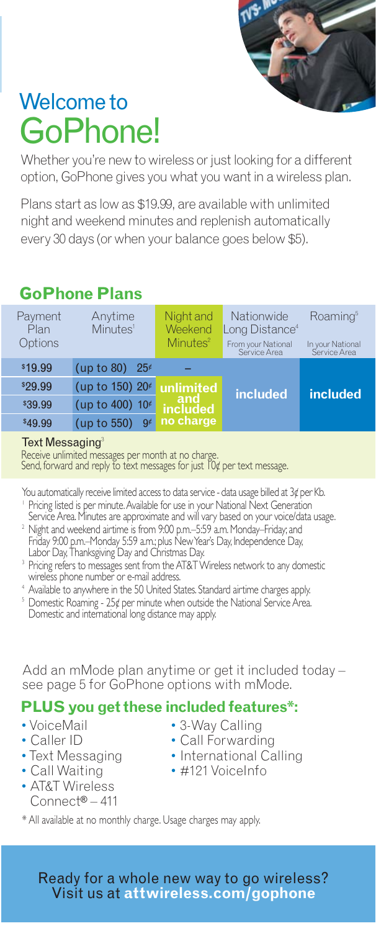

# Welcome to GoPhone!

Whether you're new to wireless or just looking for a different option, GoPhone gives you what you want in a wireless plan.

Plans start as low as \$19.99, are available with unlimited night and weekend minutes and replenish automatically every 30 days (or when your balance goes below \$5).

# **GoPhone Plans**

| Payment<br>Plan<br>Options | Anytime<br>Minutes <sup>1</sup> | Night and<br>Weekend<br>Minutes <sup>2</sup> | Nationwide<br>Long Distance <sup>4</sup><br>From your National<br>Service Area | Roaming <sup>5</sup><br>In your National<br>Service Area |
|----------------------------|---------------------------------|----------------------------------------------|--------------------------------------------------------------------------------|----------------------------------------------------------|
| \$19.99                    | (up to 80)<br>$25\epsilon$      |                                              |                                                                                |                                                          |
| \$29.99                    | (up to 150) 20 <sup>¢</sup>     | unlimited                                    | included                                                                       | included                                                 |
| \$39.99                    | (up to 400) 10 <sup>¢</sup>     | and<br>included<br>no charge                 |                                                                                |                                                          |
| \$49.99                    | (up to 550)<br>$9\epsilon$      |                                              |                                                                                |                                                          |

#### **Text Messaging**

Receive unlimited messages per month at no charge. Send, forward and reply to text messages for just 10¢ per text message.

- You automatically receive limited access to data service data usage billed at 3¢ per Kb. ' Pricing listed is per minute. Available for use in your National Next Generation<br>Service Area. Minutes are approximate and will vary based on your voice/data usage.
- <sup>2</sup> Night and weekend airtime is from 9:00 p.m.–5:59 a.m. Monday–Friday; and Friday 9:00 p.m.–Monday 5:59 a.m.; plus New Year's Day, Independence Day,<br>Labor Day, Thanksgiving Day and Christmas Day.<br><sup>3</sup> Pricing refers to messages sent from the AT&T Wireless network to any domestic
- wireless phone number or e-mail address.
- <sup>4</sup> Available to anywhere in the 50 United States. Standard airtime charges apply.
- <sup>5</sup> Domestic Roaming 25¢ per minute when outside the National Service Area. Domestic and international long distance may apply.

Add an mMode plan anytime or get it included today – see page 5 for GoPhone options with mMode.

## **PLUS you get these included features\*:**

- •VoiceMail
- Caller ID
- •Text Messaging
- Call Waiting
- AT&T Wireless Connect® – 411
- 3-Way Calling
- Call Forwarding
- International Calling
	- #121 VoiceInfo
- \* All available at no monthly charge. Usage charges may apply.

Ready for a whole new way to go wireless? Visit us at **attwireless.com/gophone**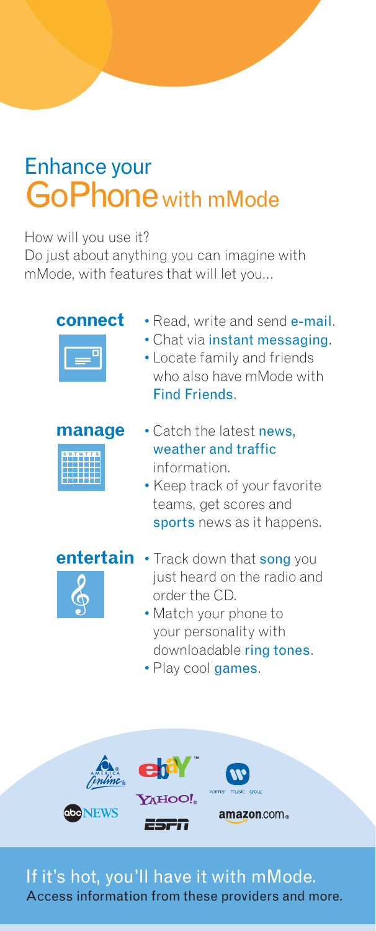# Enhance your GoPhonewith mMode

### How will you use it?

Do just about anything you can imagine with mMode, with features that will let you...









- order the CD.
	- Match your phone to your personality with downloadable ring tones.
	- Play cool games.



If it's hot, you'll have it with mMode. Access information from these providers and more.

- **connect**  Read, write and send e-mail.
	- Chat via instant messaging.
	- Locate family and friends who also have mMode with Find Friends.
- **manage**  Catch the latest news, weather and traffic information.
	- Keep track of your favorite teams, get scores and sports news as it happens.

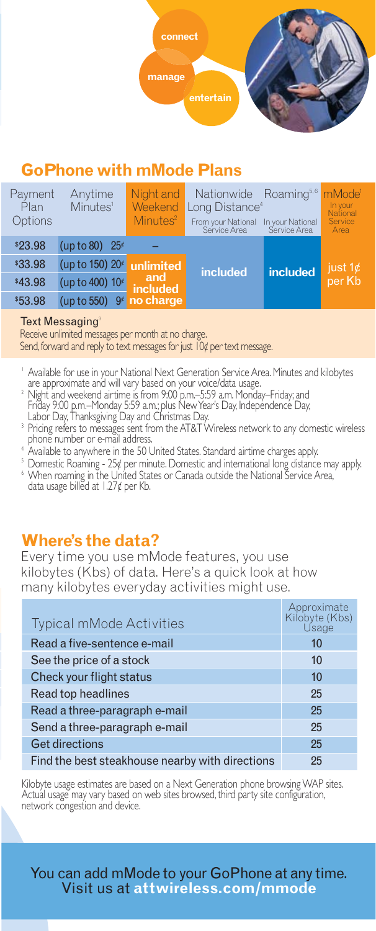

# **GoPhone with mMode Plans**

| Payment<br>Plan<br>Options | Anytime<br>Minutes <sup>1</sup> | Night and<br>Weekend<br>Minutes <sup>2</sup> | Nationwide Roaming <sup>5,6</sup><br>Long Distance <sup>4</sup><br>From your National<br>Service Area | In your National<br>Service Area | mMode <sup>1</sup><br>In your<br>National<br>Service<br>Area |
|----------------------------|---------------------------------|----------------------------------------------|-------------------------------------------------------------------------------------------------------|----------------------------------|--------------------------------------------------------------|
| \$23.98                    | (up to 80) $25¢$                |                                              |                                                                                                       |                                  |                                                              |
| \$33.98                    | (up to 150) 20 €                | unlimited                                    | <i>included</i>                                                                                       | included                         | $i$ ust 1¢                                                   |
| \$43.98                    | (up to 400) 10 <sup>€</sup>     | and<br>included                              |                                                                                                       |                                  | per Kb                                                       |
| \$53.98                    | (up to 550)                     | 9 no charge                                  |                                                                                                       |                                  |                                                              |

#### **Text Messaging**

Receive unlimited messages per month at no charge.

Send, forward and reply to text messages for just 10¢ per text message.

- ' Available for use in your National Next Generation Service Area. Minutes and kilobytes<br>| are approximate and will vary based on your voice/data usage.<br><sup>2</sup> Night and wookend girtimo is from 9:00 p.m. 5:59 a.m. Monday. Fri
- Night and weekend airtime is from 9:00 p.m.–5:59 a.m. Monday–Friday; and<br>Friday 9:00 p.m.–Monday 5:59 a.m.; plus New Year's Day, Independence Day,<br>Labor Day, Thanksgiving Day and Christmas Day.
- 3 Pricing refers to messages sent from the AT&T Wireless network to any domestic wireless phone number or e-mail address.
- <sup>4</sup> Available to anywhere in the 50 United States. Standard airtime charges apply.
- <sup>5</sup> Domestic Roaming 25¢ per minute. Domestic and international long distance may apply. <sup>6</sup> When roaming in the United States or Canada outside the National Service Area, data usage billed at 1.27¢ per Kb.

## **Where's the data?**

Every time you use mMode features, you use kilobytes (Kbs) of data. Here's a quick look at how many kilobytes everyday activities might use.

| <b>Typical mMode Activities</b>                 | Approximate<br>Kilobyte (Kbs)<br>Usage |  |
|-------------------------------------------------|----------------------------------------|--|
| Read a five-sentence e-mail                     | 10                                     |  |
| See the price of a stock                        | 10                                     |  |
| Check your flight status                        | 10                                     |  |
| Read top headlines                              | 25                                     |  |
| Read a three-paragraph e-mail                   | 25                                     |  |
| Send a three-paragraph e-mail                   | 25                                     |  |
| <b>Get directions</b>                           | 25                                     |  |
| Find the best steakhouse nearby with directions | 25                                     |  |

Kilobyte usage estimates are based on a Next Generation phone browsing WAP sites. Actual usage may vary based on web sites browsed, third party site configuration, network congestion and device.

You can add mMode to your GoPhone at any time. Visit us at **attwireless.com/mmode**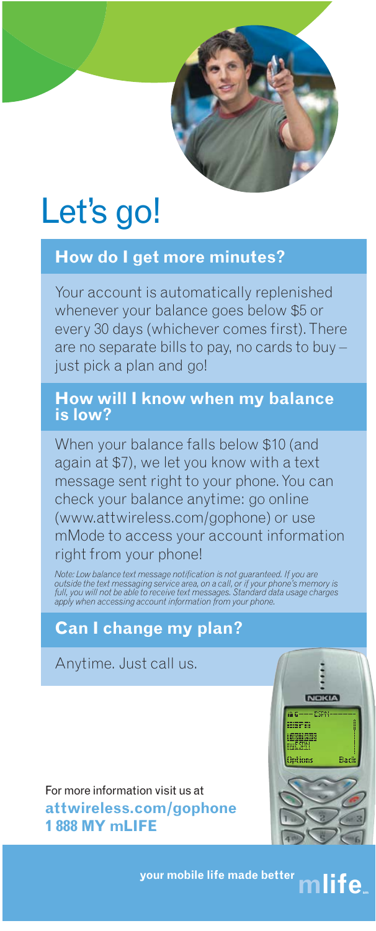

# Let's go!

# **How do I get more minutes?**

Your account is automatically replenished whenever your balance goes below \$5 or every 30 days (whichever comes first). There are no separate bills to pay, no cards to buy – just pick a plan and go!

## **How will I know when my balance is low?**

When your balance falls below \$10 (and again at \$7), we let you know with a text message sent right to your phone. You can check your balance anytime: go online (www.attwireless.com/gophone) or use mMode to access your account information right from your phone!

Note: Low balance text message notification is not guaranteed. If you are<br>outside the text messaging service area, on a call, or if your phone's memory is<br>full, you will not be able to receive text messages. Standard data

# **Can I change my plan?**

Anytime. Just call us.

For more information visit us at **attwireless.com/gophone 1 888 MY mLIFE**



**your mobile life made better** mlife